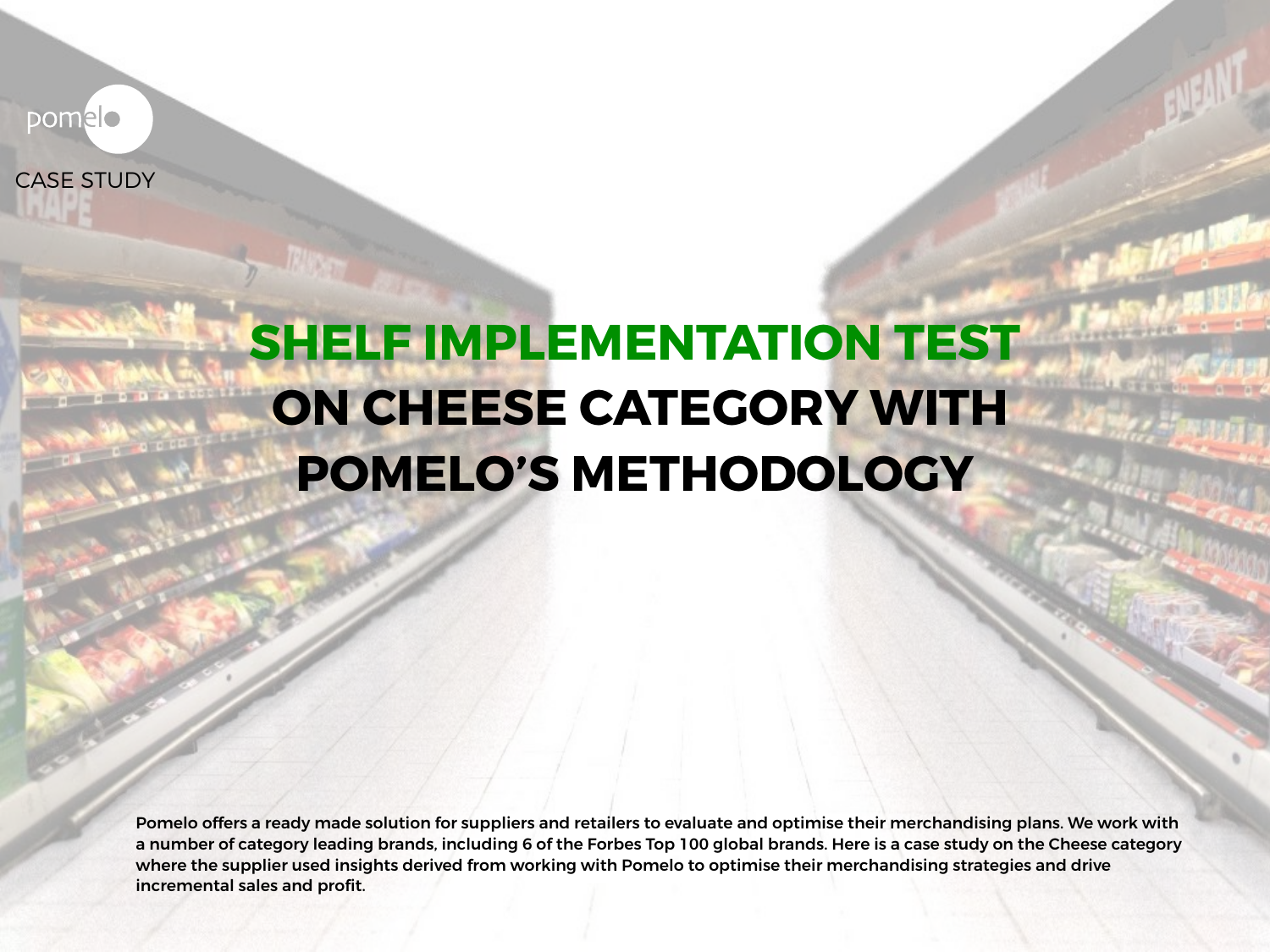pomelo

CASE STUDY

# **SHELF IMPLEMENTATION TEST ON CHEESE CATEGORY WITH POMELO'S METHODOLOGY**

Pomelo offers a ready made solution for suppliers and retailers to evaluate and optimise their merchandising plans. We work with a number of category leading brands, including 6 of the Forbes Top 100 global brands. Here is a case study on the Cheese category where the supplier used insights derived from working with Pomelo to optimise their merchandising strategies and drive incremental sales and profit.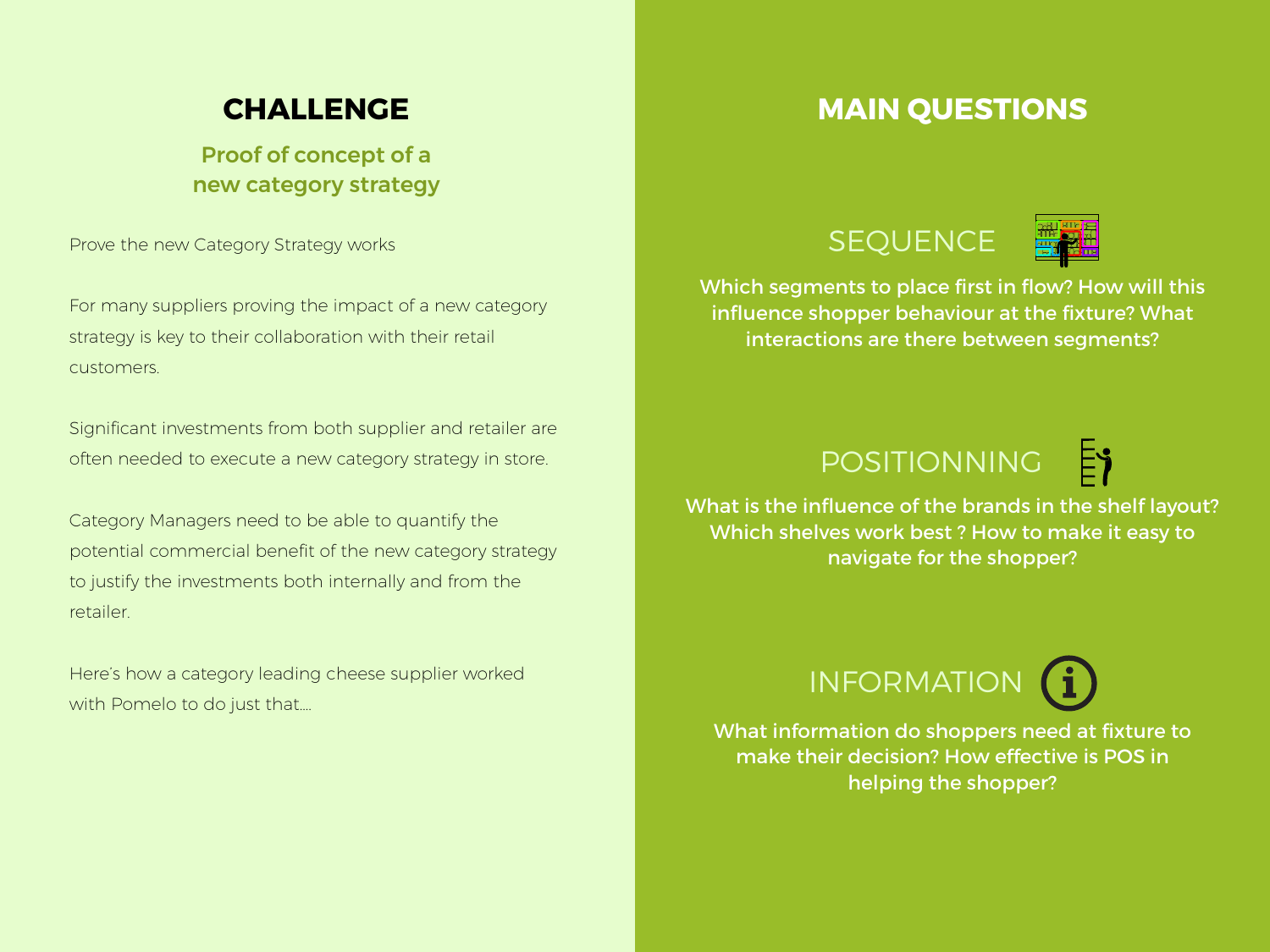### **CHALLENGE**

Proof of concept of a new category strategy

Prove the new Category Strategy works

For many suppliers proving the impact of a new category strategy is key to their collaboration with their retail customers.

Significant investments from both supplier and retailer are often needed to execute a new category strategy in store.

Category Managers need to be able to quantify the potential commercial benefit of the new category strategy to justify the investments both internally and from the retailer.

Here's how a category leading cheese supplier worked with Pomelo to do just that....

#### **MAIN QUESTIONS**





Which segments to place first in flow? How will this influence shopper behaviour at the fixture? What interactions are there between segments?

## POSITIONNING



What is the influence of the brands in the shelf layout? Which shelves work best ? How to make it easy to navigate for the shopper?



What information do shoppers need at fixture to make their decision? How effective is POS in helping the shopper?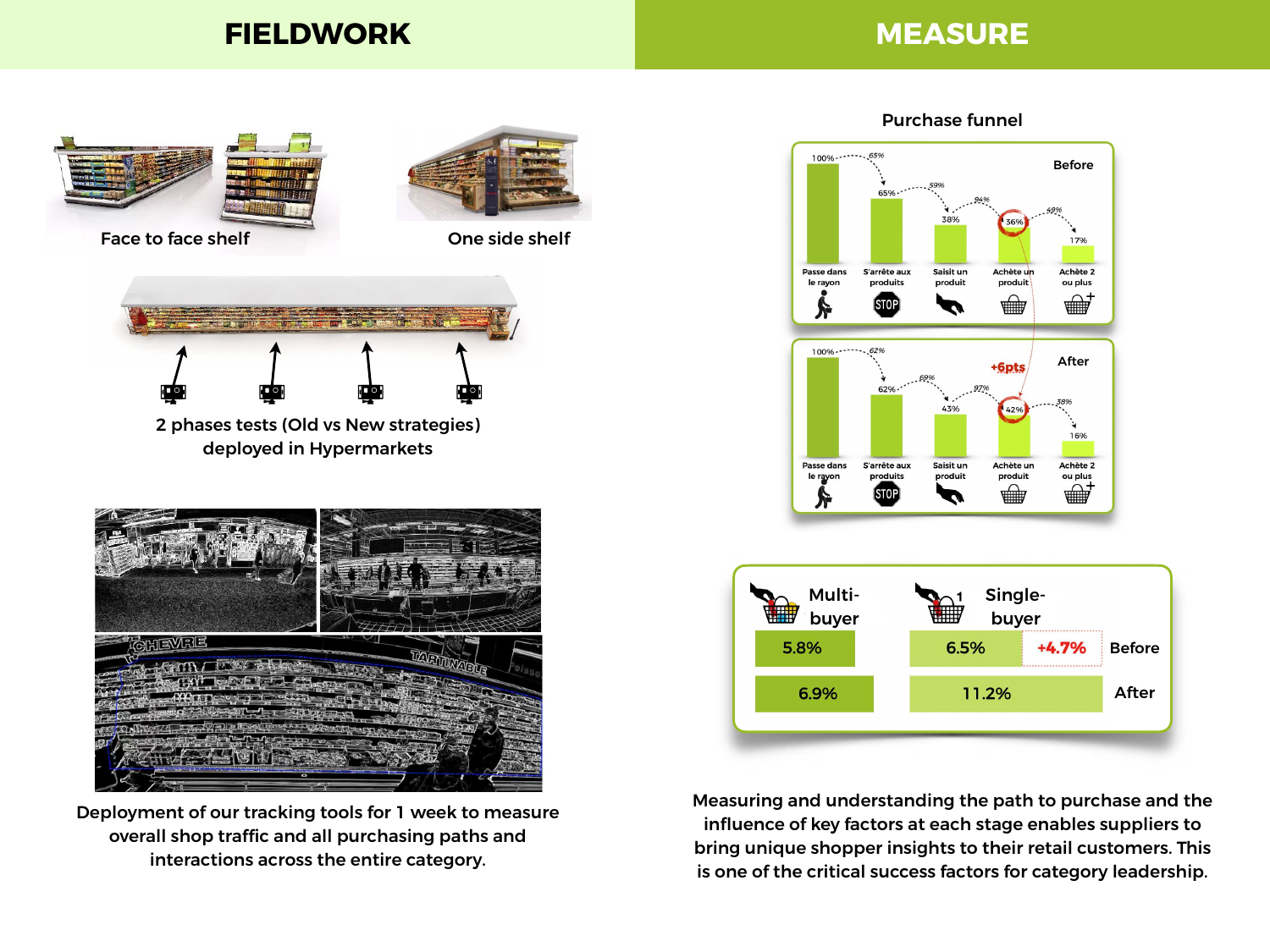#### **FIELDWORK MEASURE**



Deployment of our tracking tools for 1 week to measure overall shop traffic and all purchasing paths and interactions across the entire category.

Purchase funnel



Measuring and understanding the path to purchase and the influence of key factors at each stage enables suppliers to bring unique shopper insights to their retail customers. This is one of the critical success factors for category leadership.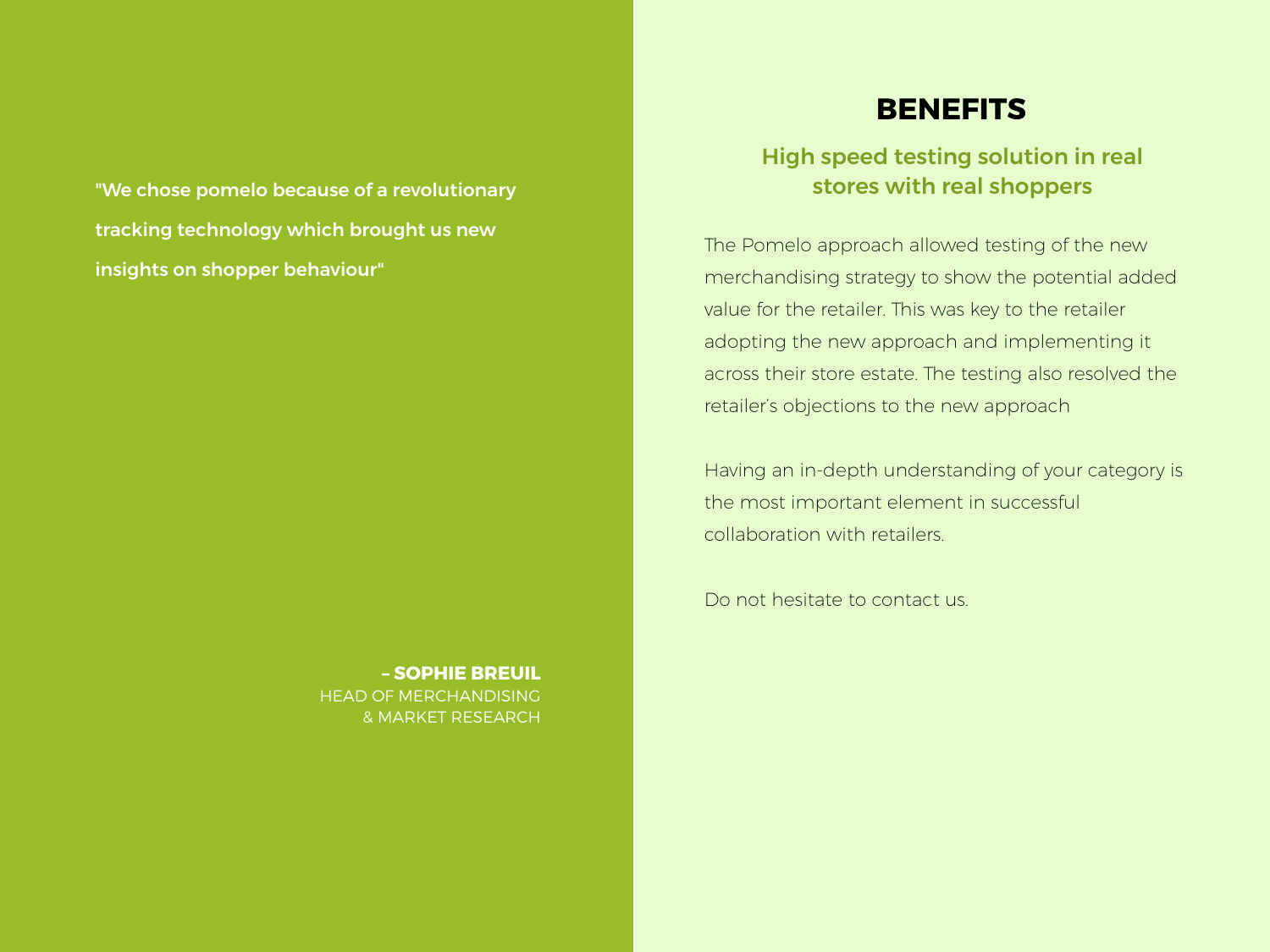"We chose pomelo because of a revolutionary tracking technology which brought us new insights on shopper behaviour"

> **– SOPHIE BREUIL** HEAD OF MERCHANDISING & MARKET RESEARCH

#### **BENEFITS**

#### High speed testing solution in real stores with real shoppers

The Pomelo approach allowed testing of the new merchandising strategy to show the potential added value for the retailer. This was key to the retailer adopting the new approach and implementing it across their store estate. The testing also resolved the retailer's objections to the new approach

Having an in-depth understanding of your category is the most important element in successful collaboration with retailers.

Do not hesitate to contact us.